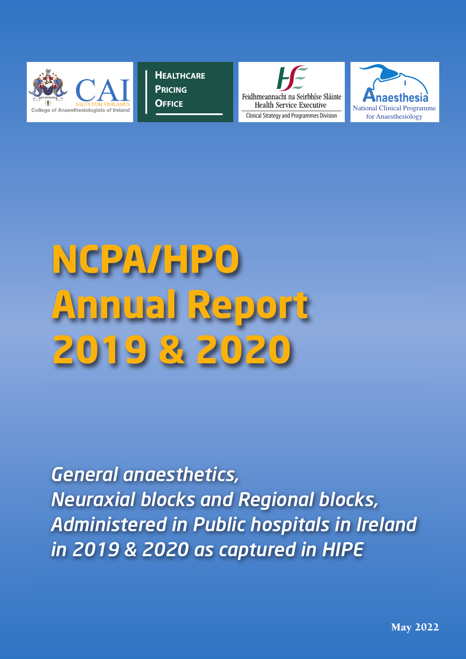

**HEALTHCARE PRICING OFFICE**





# **NCPA/HPO Annual Report 2019** & 20

*General anaesthetics, Neuraxial blocks and Regional blocks, Administered in Public hospitals in Ireland in 2019 & 2020 as captured in HIPE*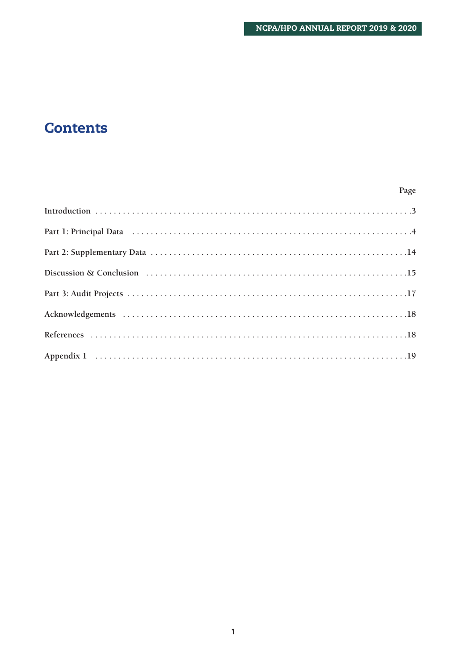### **Contents**

#### Page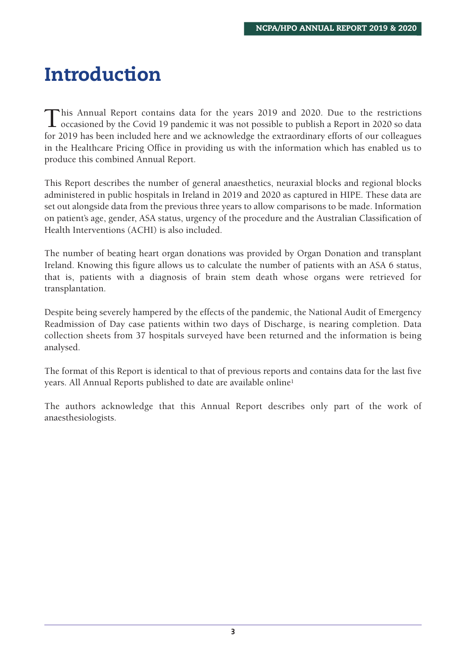# **Introduction**

This Annual Report contains data for the years 2019 and 2020. Due to the restrictions<br>occasioned by the Covid 19 pandemic it was not possible to publish a Report in 2020 so data for 2019 has been included here and we acknowledge the extraordinary efforts of our colleagues in the Healthcare Pricing Office in providing us with the information which has enabled us to produce this combined Annual Report.

This Report describes the number of general anaesthetics, neuraxial blocks and regional blocks administered in public hospitals in Ireland in 2019 and 2020 as captured in HIPE. These data are set out alongside data from the previous three years to allow comparisons to be made. Information on patient's age, gender, ASA status, urgency of the procedure and the Australian Classification of Health Interventions (ACHI) is also included.

The number of beating heart organ donations was provided by Organ Donation and transplant Ireland. Knowing this figure allows us to calculate the number of patients with an ASA 6 status, that is, patients with a diagnosis of brain stem death whose organs were retrieved for transplantation.

Despite being severely hampered by the effects of the pandemic, the National Audit of Emergency Readmission of Day case patients within two days of Discharge, is nearing completion. Data collection sheets from 37 hospitals surveyed have been returned and the information is being analysed.

The format of this Report is identical to that of previous reports and contains data for the last five years. All Annual Reports published to date are available online1

The authors acknowledge that this Annual Report describes only part of the work of anaesthesiologists.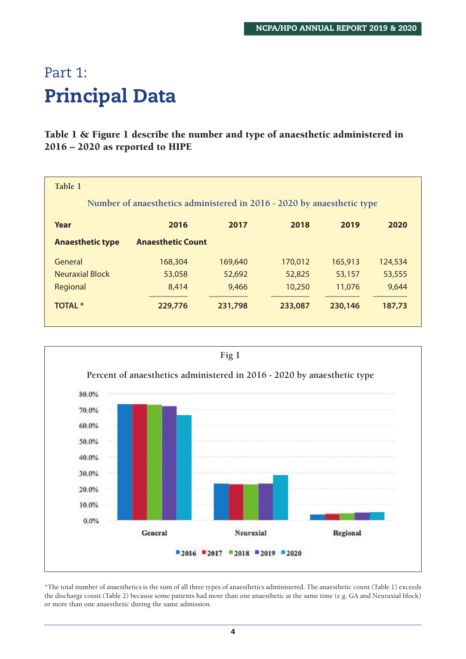## Part 1: **Principal Data**

#### **Table 1 & Figure 1 describe the number and type of anaesthetic administered in 2016 – 2020 as reported to HIPE**

| Table 1                 |                                                                        |         |         |         |         |
|-------------------------|------------------------------------------------------------------------|---------|---------|---------|---------|
|                         | Number of anaesthetics administered in 2016 - 2020 by anaesthetic type |         |         |         |         |
| Year                    | 2016                                                                   | 2017    | 2018    | 2019    | 2020    |
| <b>Anaesthetic type</b> | <b>Anaesthetic Count</b>                                               |         |         |         |         |
| General                 | 168,304                                                                | 169,640 | 170,012 | 165,913 | 124,534 |
| <b>Neuraxial Block</b>  | 53,058                                                                 | 52,692  | 52,825  | 53,157  | 53,555  |
| Regional                | 8,414                                                                  | 9,466   | 10,250  | 11,076  | 9,644   |
| <b>TOTAL *</b>          | 229,776                                                                | 231,798 | 233,087 | 230,146 | 187,73  |



\*The total number of anaesthetics is the sum of all three types of anaesthetics administered. The anaesthetic count (Table 1) exceeds the discharge count (Table 2) because some patients had more than one anaesthetic at the same time (e.g. GA and Neuraxial block) or more than one anaesthetic during the same admission.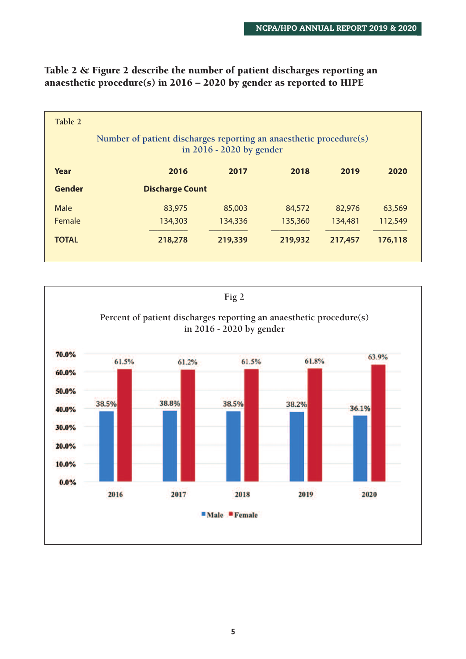| Table 2      | Number of patient discharges reporting an anaesthetic procedure(s) | in 2016 - 2020 by gender |         |         |         |
|--------------|--------------------------------------------------------------------|--------------------------|---------|---------|---------|
| Year         | 2016                                                               | 2017                     | 2018    | 2019    | 2020    |
| Gender       | <b>Discharge Count</b>                                             |                          |         |         |         |
| Male         | 83,975                                                             | 85,003                   | 84,572  | 82,976  | 63,569  |
| Female       | 134,303                                                            | 134,336                  | 135,360 | 134,481 | 112,549 |
| <b>TOTAL</b> | 218,278                                                            | 219,339                  | 219,932 | 217,457 | 176,118 |

#### **Table 2 & Figure 2 describe the number of patient discharges reporting an anaesthetic procedure(s) in 2016 – 2020 by gender as reported to HIPE**

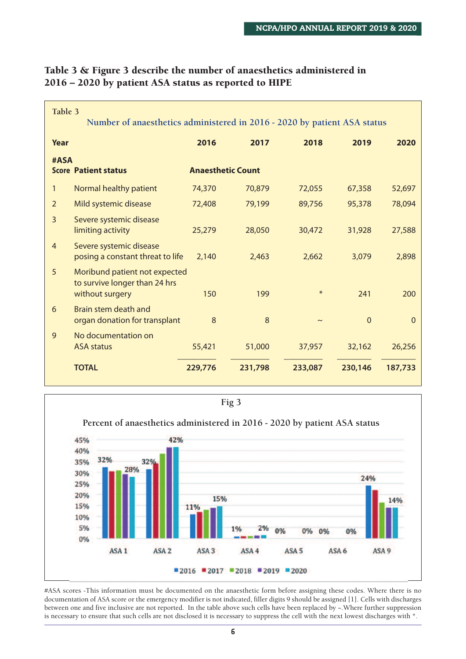| Table 3<br>Number of anaesthetics administered in 2016 - 2020 by patient ASA status    |                          |         |         |                |         |
|----------------------------------------------------------------------------------------|--------------------------|---------|---------|----------------|---------|
| Year                                                                                   | 2016                     | 2017    | 2018    | 2019           | 2020    |
| #ASA<br><b>Score Patient status</b>                                                    | <b>Anaesthetic Count</b> |         |         |                |         |
| Normal healthy patient<br>1                                                            | 74,370                   | 70,879  | 72,055  | 67,358         | 52,697  |
| Mild systemic disease<br>2                                                             | 72,408                   | 79,199  | 89,756  | 95,378         | 78,094  |
| 3<br>Severe systemic disease<br>limiting activity                                      | 25,279                   | 28,050  | 30,472  | 31,928         | 27,588  |
| Severe systemic disease<br>$\overline{4}$<br>posing a constant threat to life          | 2,140                    | 2,463   | 2,662   | 3,079          | 2,898   |
| 5<br>Moribund patient not expected<br>to survive longer than 24 hrs<br>without surgery | 150                      | 199     | $\ast$  | 241            | 200     |
| Brain stem death and<br>6<br>organ donation for transplant                             | 8                        | 8       |         | $\overline{0}$ | 0       |
| No documentation on<br>9<br><b>ASA status</b>                                          | 55,421                   | 51,000  | 37,957  | 32,162         | 26,256  |
| <b>TOTAL</b>                                                                           | 229,776                  | 231,798 | 233,087 | 230,146        | 187,733 |

#### **Table 3 & Figure 3 describe the number of anaesthetics administered in 2016 – 2020 by patient ASA status as reported to HIPE**



#ASA scores -This information must be documented on the anaesthetic form before assigning these codes. Where there is no documentation of ASA score or the emergency modifier is not indicated, filler digits 9 should be assigned [1]. Cells with discharges between one and five inclusive are not reported. In the table above such cells have been replaced by ~.Where further suppression is necessary to ensure that such cells are not disclosed it is necessary to suppress the cell with the next lowest discharges with \*.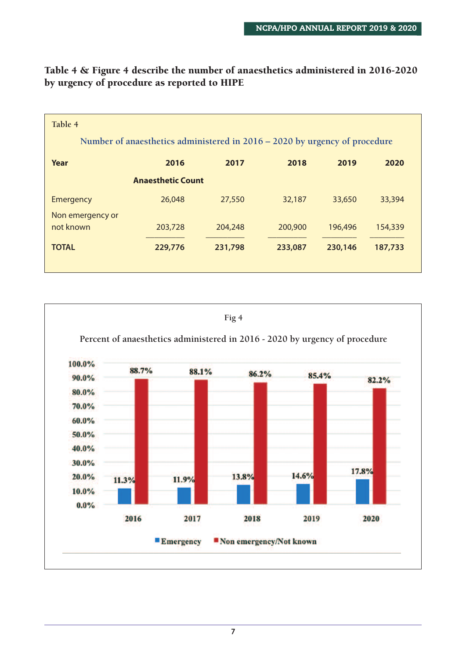| Table 4<br>Number of anaesthetics administered in $2016 - 2020$ by urgency of procedure |                          |         |         |         |         |
|-----------------------------------------------------------------------------------------|--------------------------|---------|---------|---------|---------|
| Year                                                                                    | 2016                     | 2017    | 2018    | 2019    | 2020    |
|                                                                                         | <b>Anaesthetic Count</b> |         |         |         |         |
| Emergency                                                                               | 26,048                   | 27,550  | 32,187  | 33,650  | 33,394  |
| Non emergency or<br>not known                                                           | 203,728                  | 204,248 | 200,900 | 196,496 | 154,339 |
| <b>TOTAL</b>                                                                            | 229,776                  | 231,798 | 233,087 | 230,146 | 187,733 |
|                                                                                         |                          |         |         |         |         |

**Table 4 & Figure 4 describe the number of anaesthetics administered in 2016-2020 by urgency of procedure as reported to HIPE**

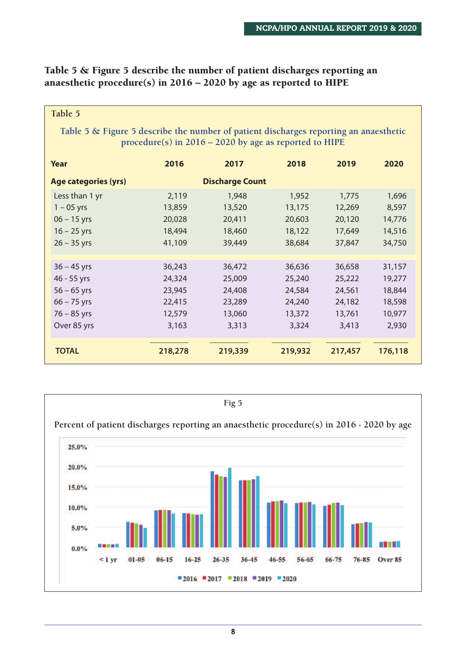#### **Table 5 & Figure 5 describe the number of patient discharges reporting an anaesthetic procedure(s) in 2016 – 2020 by age as reported to HIPE**

| Table 5                                                                                                                                           |         |                        |         |         |         |  |  |  |  |
|---------------------------------------------------------------------------------------------------------------------------------------------------|---------|------------------------|---------|---------|---------|--|--|--|--|
| Table 5 & Figure 5 describe the number of patient discharges reporting an anaesthetic<br>procedure(s) in $2016 - 2020$ by age as reported to HIPE |         |                        |         |         |         |  |  |  |  |
| Year                                                                                                                                              | 2016    | 2017                   | 2018    | 2019    | 2020    |  |  |  |  |
| Age categories (yrs)                                                                                                                              |         | <b>Discharge Count</b> |         |         |         |  |  |  |  |
| Less than 1 yr                                                                                                                                    | 2,119   | 1,948                  | 1,952   | 1,775   | 1,696   |  |  |  |  |
| $1 - 05$ yrs                                                                                                                                      | 13,859  | 13,520                 | 13,175  | 12,269  | 8,597   |  |  |  |  |
| $06 - 15$ yrs                                                                                                                                     | 20,028  | 20,411                 | 20,603  | 20,120  | 14,776  |  |  |  |  |
| $16 - 25$ yrs                                                                                                                                     | 18,494  | 18,460                 | 18,122  | 17,649  | 14,516  |  |  |  |  |
| $26 - 35$ yrs                                                                                                                                     | 41,109  | 39,449                 | 38,684  | 37,847  | 34,750  |  |  |  |  |
|                                                                                                                                                   |         |                        |         |         |         |  |  |  |  |
| $36 - 45$ yrs                                                                                                                                     | 36,243  | 36,472                 | 36,636  | 36,658  | 31,157  |  |  |  |  |
| 46 - 55 yrs                                                                                                                                       | 24,324  | 25,009                 | 25,240  | 25,222  | 19,277  |  |  |  |  |
| $56 - 65$ yrs                                                                                                                                     | 23,945  | 24,408                 | 24,584  | 24,561  | 18,844  |  |  |  |  |
| $66 - 75$ yrs                                                                                                                                     | 22,415  | 23,289                 | 24,240  | 24,182  | 18,598  |  |  |  |  |
| $76 - 85$ yrs                                                                                                                                     | 12,579  | 13,060                 | 13,372  | 13,761  | 10,977  |  |  |  |  |
| Over 85 yrs                                                                                                                                       | 3,163   | 3,313                  | 3,324   | 3,413   | 2,930   |  |  |  |  |
| <b>TOTAL</b>                                                                                                                                      | 218,278 | 219,339                | 219,932 | 217,457 | 176,118 |  |  |  |  |

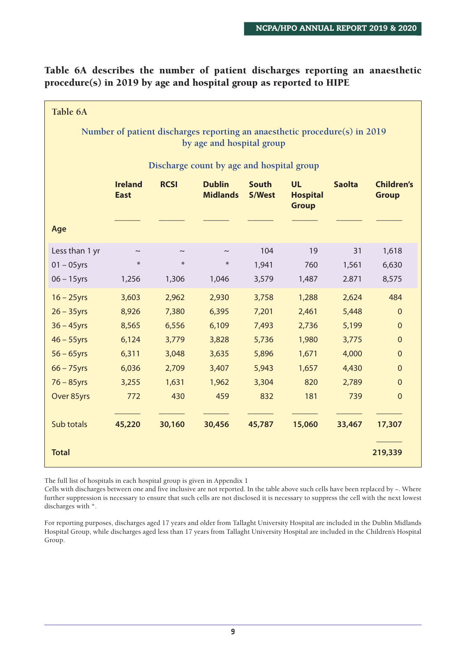**Table 6A describes the number of patient discharges reporting an anaesthetic procedure(s) in 2019 by age and hospital group as reported to HIPE**

| Table 6A                                                                                                |                                                                                                                                                                                                                         |             |            |        |        |        |                |  |  |  |
|---------------------------------------------------------------------------------------------------------|-------------------------------------------------------------------------------------------------------------------------------------------------------------------------------------------------------------------------|-------------|------------|--------|--------|--------|----------------|--|--|--|
| Number of patient discharges reporting an anaesthetic procedure(s) in 2019<br>by age and hospital group |                                                                                                                                                                                                                         |             |            |        |        |        |                |  |  |  |
| Discharge count by age and hospital group                                                               |                                                                                                                                                                                                                         |             |            |        |        |        |                |  |  |  |
|                                                                                                         | <b>RCSI</b><br><b>Ireland</b><br><b>Dublin</b><br><b>South</b><br><b>UL</b><br><b>Saolta</b><br><b>Children's</b><br><b>Midlands</b><br><b>East</b><br><b>S/West</b><br><b>Hospital</b><br><b>Group</b><br><b>Group</b> |             |            |        |        |        |                |  |  |  |
| Age                                                                                                     |                                                                                                                                                                                                                         |             |            |        |        |        |                |  |  |  |
| Less than 1 yr                                                                                          | $\thicksim$                                                                                                                                                                                                             | $\thicksim$ | $\tilde{}$ | 104    | 19     | 31     | 1,618          |  |  |  |
| $01 - 05$ yrs                                                                                           | $\ast$                                                                                                                                                                                                                  | $\ast$      | $\ast$     | 1,941  | 760    | 1,561  | 6,630          |  |  |  |
| $06 - 15$ yrs                                                                                           | 1,256                                                                                                                                                                                                                   | 1,306       | 1,046      | 3,579  | 1,487  | 2.871  | 8,575          |  |  |  |
| $16 - 25$ yrs                                                                                           | 3,603                                                                                                                                                                                                                   | 2,962       | 2,930      | 3,758  | 1,288  | 2,624  | 484            |  |  |  |
| $26 - 35$ yrs                                                                                           | 8,926                                                                                                                                                                                                                   | 7,380       | 6,395      | 7,201  | 2,461  | 5,448  | $\mathbf{0}$   |  |  |  |
| $36 - 45$ yrs                                                                                           | 8,565                                                                                                                                                                                                                   | 6,556       | 6,109      | 7,493  | 2,736  | 5,199  | $\mathbf{0}$   |  |  |  |
| $46 - 55$ yrs                                                                                           | 6,124                                                                                                                                                                                                                   | 3,779       | 3,828      | 5,736  | 1,980  | 3,775  | $\overline{0}$ |  |  |  |
| $56 - 65$ yrs                                                                                           | 6,311                                                                                                                                                                                                                   | 3,048       | 3,635      | 5,896  | 1,671  | 4,000  | $\mathbf{0}$   |  |  |  |
| $66 - 75$ yrs                                                                                           | 6,036                                                                                                                                                                                                                   | 2,709       | 3,407      | 5,943  | 1,657  | 4,430  | $\mathbf{0}$   |  |  |  |
| $76 - 85$ yrs                                                                                           | 3,255                                                                                                                                                                                                                   | 1,631       | 1,962      | 3,304  | 820    | 2,789  | $\Omega$       |  |  |  |
| Over 85yrs                                                                                              | 772                                                                                                                                                                                                                     | 430         | 459        | 832    | 181    | 739    | $\overline{0}$ |  |  |  |
| Sub totals                                                                                              | 45,220                                                                                                                                                                                                                  | 30,160      | 30,456     | 45,787 | 15,060 | 33,467 | 17,307         |  |  |  |
| <b>Total</b>                                                                                            |                                                                                                                                                                                                                         |             |            |        |        |        | 219,339        |  |  |  |

The full list of hospitals in each hospital group is given in Appendix 1

Cells with discharges between one and five inclusive are not reported. In the table above such cells have been replaced by  $\sim$ . Where further suppression is necessary to ensure that such cells are not disclosed it is necessary to suppress the cell with the next lowest discharges with \*.

For reporting purposes, discharges aged 17 years and older from Tallaght University Hospital are included in the Dublin Midlands Hospital Group, while discharges aged less than 17 years from Tallaght University Hospital are included in the Children's Hospital Group.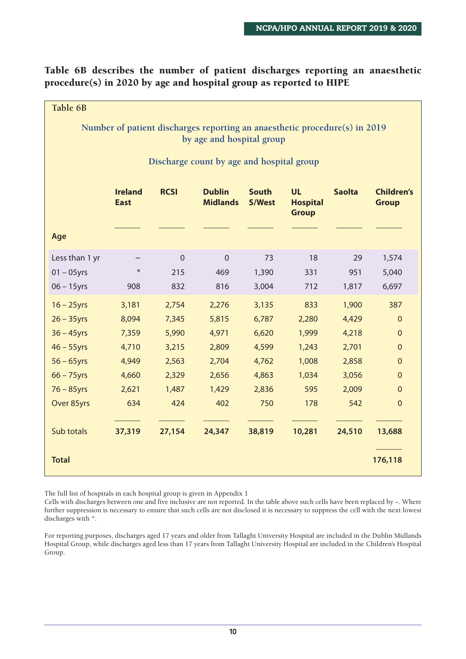**Table 6B describes the number of patient discharges reporting an anaesthetic procedure(s) in 2020 by age and hospital group as reported to HIPE**

| Table 6B                                                                                                |                               |              |                                  |                               |                                              |               |                                   |  |  |  |
|---------------------------------------------------------------------------------------------------------|-------------------------------|--------------|----------------------------------|-------------------------------|----------------------------------------------|---------------|-----------------------------------|--|--|--|
| Number of patient discharges reporting an anaesthetic procedure(s) in 2019<br>by age and hospital group |                               |              |                                  |                               |                                              |               |                                   |  |  |  |
| Discharge count by age and hospital group                                                               |                               |              |                                  |                               |                                              |               |                                   |  |  |  |
|                                                                                                         | <b>Ireland</b><br><b>East</b> | <b>RCSI</b>  | <b>Dublin</b><br><b>Midlands</b> | <b>South</b><br><b>S/West</b> | <b>UL</b><br><b>Hospital</b><br><b>Group</b> | <b>Saolta</b> | <b>Children's</b><br><b>Group</b> |  |  |  |
| Age                                                                                                     |                               |              |                                  |                               |                                              |               |                                   |  |  |  |
| Less than 1 yr                                                                                          | $\thicksim$                   | $\mathbf{0}$ | $\overline{0}$                   | 73                            | 18                                           | 29            | 1,574                             |  |  |  |
| $01 - 05$ yrs                                                                                           | $\ast$                        | 215          | 469                              | 1,390                         | 331                                          | 951           | 5,040                             |  |  |  |
| $06 - 15$ yrs                                                                                           | 908                           | 832          | 816                              | 3,004                         | 712                                          | 1,817         | 6,697                             |  |  |  |
| $16 - 25$ yrs                                                                                           | 3,181                         | 2,754        | 2,276                            | 3,135                         | 833                                          | 1,900         | 387                               |  |  |  |
| $26 - 35$ yrs                                                                                           | 8,094                         | 7,345        | 5,815                            | 6,787                         | 2,280                                        | 4,429         | $\mathbf{0}$                      |  |  |  |
| $36 - 45$ yrs                                                                                           | 7,359                         | 5,990        | 4,971                            | 6,620                         | 1,999                                        | 4,218         | $\mathbf 0$                       |  |  |  |
| $46 - 55$ yrs                                                                                           | 4,710                         | 3,215        | 2,809                            | 4,599                         | 1,243                                        | 2,701         | $\mathbf{0}$                      |  |  |  |
| $56 - 65$ yrs                                                                                           | 4,949                         | 2,563        | 2,704                            | 4,762                         | 1,008                                        | 2,858         | $\mathbf{0}$                      |  |  |  |
| $66 - 75$ yrs                                                                                           | 4,660                         | 2,329        | 2,656                            | 4,863                         | 1,034                                        | 3,056         | $\mathbf 0$                       |  |  |  |
| $76 - 85$ yrs                                                                                           | 2,621                         | 1,487        | 1,429                            | 2,836                         | 595                                          | 2,009         | $\mathbf{0}$                      |  |  |  |
| Over 85yrs                                                                                              | 634                           | 424          | 402                              | 750                           | 178                                          | 542           | $\overline{0}$                    |  |  |  |
| Sub totals                                                                                              | 37,319                        | 27,154       | 24,347                           | 38,819                        | 10,281                                       | 24,510        | 13,688                            |  |  |  |
| <b>Total</b>                                                                                            |                               |              |                                  |                               |                                              |               | 176,118                           |  |  |  |

The full list of hospitals in each hospital group is given in Appendix 1

Cells with discharges between one and five inclusive are not reported. In the table above such cells have been replaced by  $\sim$ . Where further suppression is necessary to ensure that such cells are not disclosed it is necessary to suppress the cell with the next lowest discharges with \*.

For reporting purposes, discharges aged 17 years and older from Tallaght University Hospital are included in the Dublin Midlands Hospital Group, while discharges aged less than 17 years from Tallaght University Hospital are included in the Children's Hospital Group.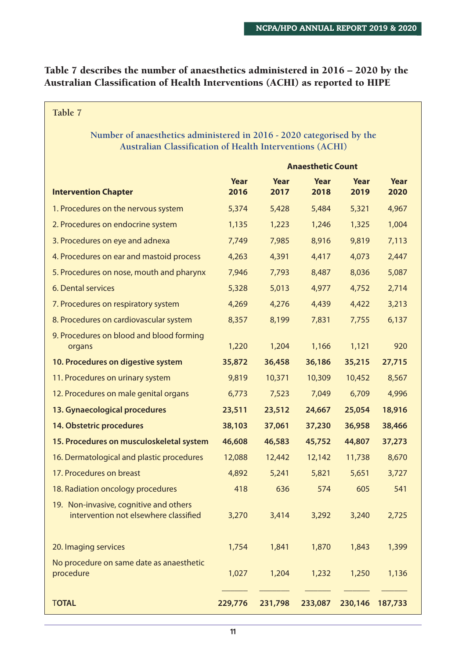#### **Table 7 describes the number of anaesthetics administered in 2016 – 2020 by the Australian Classification of Health Interventions (ACHI) as reported to HIPE**

**Table 7**

#### **Number of anaesthetics administered in 2016 - 2020 categorised by the Australian Classification of Health Interventions (ACHI)**

|                                                                                 | <b>Anaesthetic Count</b> |              |              |              |              |
|---------------------------------------------------------------------------------|--------------------------|--------------|--------------|--------------|--------------|
| <b>Intervention Chapter</b>                                                     | Year<br>2016             | Year<br>2017 | Year<br>2018 | Year<br>2019 | Year<br>2020 |
| 1. Procedures on the nervous system                                             | 5,374                    | 5,428        | 5,484        | 5,321        | 4,967        |
| 2. Procedures on endocrine system                                               | 1,135                    | 1,223        | 1,246        | 1,325        | 1,004        |
| 3. Procedures on eye and adnexa                                                 | 7,749                    | 7,985        | 8,916        | 9,819        | 7,113        |
| 4. Procedures on ear and mastoid process                                        | 4,263                    | 4,391        | 4,417        | 4,073        | 2,447        |
| 5. Procedures on nose, mouth and pharynx                                        | 7,946                    | 7,793        | 8,487        | 8,036        | 5,087        |
| 6. Dental services                                                              | 5,328                    | 5,013        | 4,977        | 4,752        | 2,714        |
| 7. Procedures on respiratory system                                             | 4,269                    | 4,276        | 4,439        | 4,422        | 3,213        |
| 8. Procedures on cardiovascular system                                          | 8,357                    | 8,199        | 7,831        | 7,755        | 6,137        |
| 9. Procedures on blood and blood forming<br>organs                              | 1,220                    | 1,204        | 1,166        | 1,121        | 920          |
| 10. Procedures on digestive system                                              | 35,872                   | 36,458       | 36,186       | 35,215       | 27,715       |
| 11. Procedures on urinary system                                                | 9,819                    | 10,371       | 10,309       | 10,452       | 8,567        |
| 12. Procedures on male genital organs                                           | 6,773                    | 7,523        | 7,049        | 6,709        | 4,996        |
| 13. Gynaecological procedures                                                   | 23,511                   | 23,512       | 24,667       | 25,054       | 18,916       |
| 14. Obstetric procedures                                                        | 38,103                   | 37,061       | 37,230       | 36,958       | 38,466       |
| 15. Procedures on musculoskeletal system                                        | 46,608                   | 46,583       | 45,752       | 44,807       | 37,273       |
| 16. Dermatological and plastic procedures                                       | 12,088                   | 12,442       | 12,142       | 11,738       | 8,670        |
| 17. Procedures on breast                                                        | 4,892                    | 5,241        | 5,821        | 5,651        | 3,727        |
| 18. Radiation oncology procedures                                               | 418                      | 636          | 574          | 605          | 541          |
| 19. Non-invasive, cognitive and others<br>intervention not elsewhere classified | 3,270                    | 3,414        | 3,292        | 3,240        | 2,725        |
| 20. Imaging services                                                            | 1,754                    | 1,841        | 1,870        | 1,843        | 1,399        |
| No procedure on same date as anaesthetic<br>procedure                           | 1,027                    | 1,204        | 1,232        | 1,250        | 1,136        |
| <b>TOTAL</b>                                                                    | 229,776                  | 231,798      | 233,087      | 230,146      | 187,733      |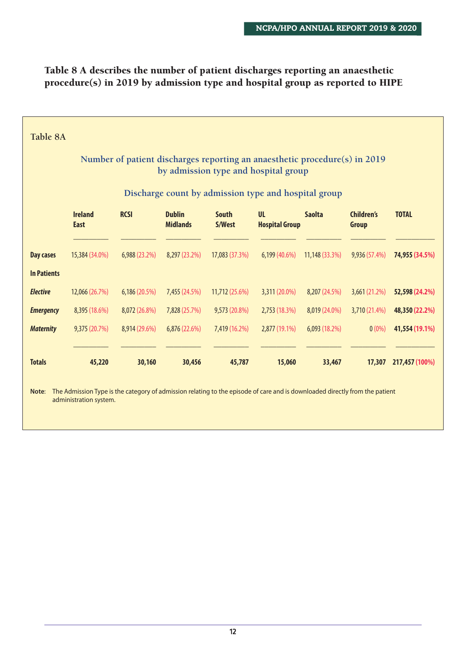#### **Table 8 A describes the number of patient discharges reporting an anaesthetic procedure(s) in 2019 by admission type and hospital group as reported to HIPE**

| Table 8A                                                                                                           |                                                                                                                                                       |               |                                  |                        |                                                      |                |                                   |                |  |  |
|--------------------------------------------------------------------------------------------------------------------|-------------------------------------------------------------------------------------------------------------------------------------------------------|---------------|----------------------------------|------------------------|------------------------------------------------------|----------------|-----------------------------------|----------------|--|--|
| Number of patient discharges reporting an anaesthetic procedure(s) in 2019<br>by admission type and hospital group |                                                                                                                                                       |               |                                  |                        |                                                      |                |                                   |                |  |  |
|                                                                                                                    |                                                                                                                                                       |               |                                  |                        | Discharge count by admission type and hospital group |                |                                   |                |  |  |
|                                                                                                                    | <b>Ireland</b><br><b>East</b>                                                                                                                         | <b>RCSI</b>   | <b>Dublin</b><br><b>Midlands</b> | <b>South</b><br>S/West | <b>UL</b><br><b>Hospital Group</b>                   | <b>Saolta</b>  | <b>Children's</b><br><b>Group</b> | <b>TOTAL</b>   |  |  |
| <b>Day cases</b>                                                                                                   | 15,384 (34.0%)                                                                                                                                        | 6,988 (23.2%) | 8,297 (23.2%)                    | 17,083 (37.3%)         | 6,199 (40.6%)                                        | 11,148 (33.3%) | 9,936 (57.4%)                     | 74,955 (34.5%) |  |  |
| <b>In Patients</b>                                                                                                 |                                                                                                                                                       |               |                                  |                        |                                                      |                |                                   |                |  |  |
| <b>Elective</b>                                                                                                    | 12,066 (26.7%)                                                                                                                                        | 6,186 (20.5%) | 7,455 (24.5%)                    | 11,712 (25.6%)         | 3,311 (20.0%)                                        | 8,207 (24.5%)  | 3,661 (21.2%)                     | 52,598 (24.2%) |  |  |
| <b>Emergency</b>                                                                                                   | 8,395 (18.6%)                                                                                                                                         | 8,072 (26.8%) | 7,828 (25.7%)                    | 9,573 (20.8%)          | 2,753(18.3%)                                         | 8,019 (24.0%)  | 3,710 (21.4%)                     | 48,350 (22.2%) |  |  |
| <b>Maternity</b>                                                                                                   | 9,375 (20.7%)                                                                                                                                         | 8,914 (29.6%) | 6,876 (22.6%)                    | 7,419 (16.2%)          | 2,877 (19.1%)                                        | 6,093 (18.2%)  | $0(0\%)$                          | 41,554 (19.1%) |  |  |
| <b>Totals</b>                                                                                                      | 45,220                                                                                                                                                | 30,160        | 30,456                           | 45,787                 | 15,060                                               | 33,467         | 17,307                            | 217,457 (100%) |  |  |
| Note:                                                                                                              | The Admission Type is the category of admission relating to the episode of care and is downloaded directly from the patient<br>administration system. |               |                                  |                        |                                                      |                |                                   |                |  |  |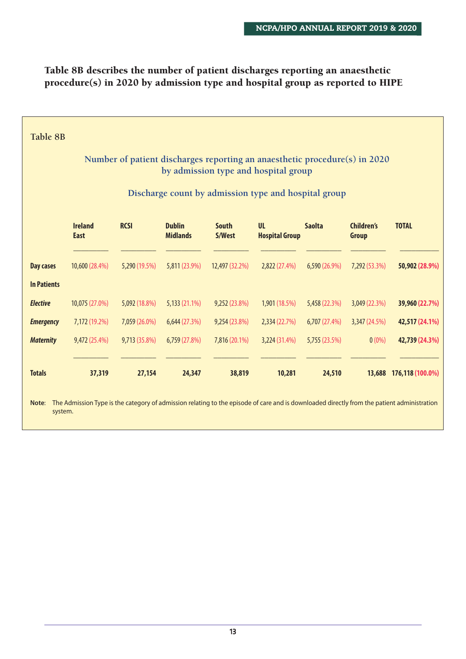#### **Table 8B describes the number of patient discharges reporting an anaesthetic procedure(s) in 2020 by admission type and hospital group as reported to HIPE**

| Table 8B                                                                                                           |                                                      |               |                                  |                        |                                    |               |                                   |                                                                                                                                            |  |  |
|--------------------------------------------------------------------------------------------------------------------|------------------------------------------------------|---------------|----------------------------------|------------------------|------------------------------------|---------------|-----------------------------------|--------------------------------------------------------------------------------------------------------------------------------------------|--|--|
| Number of patient discharges reporting an anaesthetic procedure(s) in 2020<br>by admission type and hospital group |                                                      |               |                                  |                        |                                    |               |                                   |                                                                                                                                            |  |  |
|                                                                                                                    | Discharge count by admission type and hospital group |               |                                  |                        |                                    |               |                                   |                                                                                                                                            |  |  |
|                                                                                                                    | <b>Ireland</b><br><b>East</b>                        | <b>RCSI</b>   | <b>Dublin</b><br><b>Midlands</b> | <b>South</b><br>S/West | <b>UL</b><br><b>Hospital Group</b> | <b>Saolta</b> | <b>Children's</b><br><b>Group</b> | <b>TOTAL</b>                                                                                                                               |  |  |
| <b>Day cases</b>                                                                                                   | 10,600 (28.4%)                                       | 5,290 (19.5%) | 5,811 (23.9%)                    | 12,497 (32.2%)         | 2,822 (27.4%)                      | 6,590 (26.9%) | 7,292 (53.3%)                     | 50,902 (28.9%)                                                                                                                             |  |  |
| <b>In Patients</b>                                                                                                 |                                                      |               |                                  |                        |                                    |               |                                   |                                                                                                                                            |  |  |
| <b>Elective</b>                                                                                                    | 10,075 (27.0%)                                       | 5,092 (18.8%) | 5,133 (21.1%)                    | 9,252 (23.8%)          | 1,901 (18.5%)                      | 5,458 (22.3%) | 3,049 (22.3%)                     | 39,960 (22.7%)                                                                                                                             |  |  |
| <b>Emergency</b>                                                                                                   | 7,172 (19.2%)                                        | 7,059 (26.0%) | 6,644 (27.3%)                    | 9,254 (23.8%)          | 2,334 (22.7%)                      | 6,707 (27.4%) | 3,347 (24.5%)                     | 42,517 (24.1%)                                                                                                                             |  |  |
| <b>Maternity</b>                                                                                                   | 9,472 (25.4%)                                        | 9,713 (35.8%) | 6,759 (27.8%)                    | 7,816 (20.1%)          | 3,224 (31.4%)                      | 5,755 (23.5%) | $0(0\%)$                          | 42,739 (24.3%)                                                                                                                             |  |  |
| <b>Totals</b>                                                                                                      | 37,319                                               | 27,154        | 24,347                           | 38,819                 | 10,281                             | 24,510        |                                   | 13,688 176,118 (100.0%)                                                                                                                    |  |  |
| Note:<br>system.                                                                                                   |                                                      |               |                                  |                        |                                    |               |                                   | The Admission Type is the category of admission relating to the episode of care and is downloaded directly from the patient administration |  |  |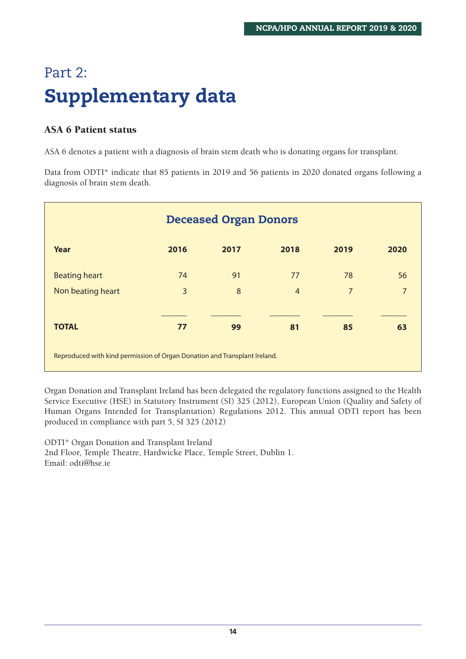# Part 2: **Supplementary data**

#### **ASA 6 Patient status**

ASA 6 denotes a patient with a diagnosis of brain stem death who is donating organs for transplant.

Data from ODTI\* indicate that 85 patients in 2019 and 56 patients in 2020 donated organs following a diagnosis of brain stem death.

| <b>Deceased Organ Donors</b>                                              |      |      |                |                |                |  |  |  |  |
|---------------------------------------------------------------------------|------|------|----------------|----------------|----------------|--|--|--|--|
| Year                                                                      | 2016 | 2017 | 2018           | 2019           | 2020           |  |  |  |  |
| <b>Beating heart</b>                                                      | 74   | 91   | 77             | 78             | 56             |  |  |  |  |
| Non beating heart                                                         | 3    | 8    | $\overline{4}$ | $\overline{7}$ | $\overline{7}$ |  |  |  |  |
|                                                                           |      |      |                |                |                |  |  |  |  |
| <b>TOTAL</b>                                                              | 77   | 99   | 81             | 85             | 63             |  |  |  |  |
| Reproduced with kind permission of Organ Donation and Transplant Ireland. |      |      |                |                |                |  |  |  |  |

Organ Donation and Transplant Ireland has been delegated the regulatory functions assigned to the Health Service Executive (HSE) in Statutory Instrument (SI) 325 (2012), European Union (Quality and Safety of Human Organs Intended for Transplantation) Regulations 2012. This annual ODTI report has been produced in compliance with part 5, SI 325 (2012)

ODTI\* Organ Donation and Transplant Ireland 2nd Floor, Temple Theatre, Hardwicke Place, Temple Street, Dublin 1. Email: odti@hse.ie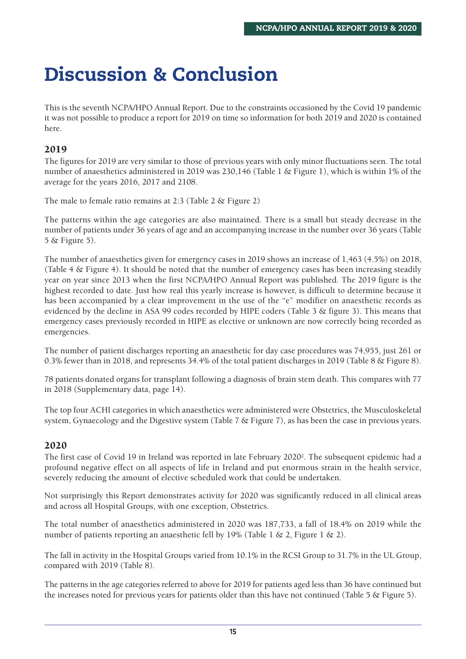# **Discussion & Conclusion**

This is the seventh NCPA/HPO Annual Report. Due to the constraints occasioned by the Covid 19 pandemic it was not possible to produce a report for 2019 on time so information for both 2019 and 2020 is contained here.

#### **2019**

The figures for 2019 are very similar to those of previous years with only minor fluctuations seen. The total number of anaesthetics administered in 2019 was 230,146 (Table 1 & Figure 1), which is within 1% of the average for the years 2016, 2017 and 2108.

The male to female ratio remains at 2:3 (Table 2 & Figure 2)

The patterns within the age categories are also maintained. There is a small but steady decrease in the number of patients under 36 years of age and an accompanying increase in the number over 36 years (Table 5 & Figure 5).

The number of anaesthetics given for emergency cases in 2019 shows an increase of 1,463 (4.5%) on 2018, (Table 4 & Figure 4). It should be noted that the number of emergency cases has been increasing steadily year on year since 2013 when the first NCPA/HPO Annual Report was published. The 2019 figure is the highest recorded to date. Just how real this yearly increase is however, is difficult to determine because it has been accompanied by a clear improvement in the use of the "e" modifier on anaesthetic records as evidenced by the decline in ASA 99 codes recorded by HIPE coders (Table 3  $\&$  figure 3). This means that emergency cases previously recorded in HIPE as elective or unknown are now correctly being recorded as emergencies.

The number of patient discharges reporting an anaesthetic for day case procedures was 74,955, just 261 or 0.3% fewer than in 2018, and represents 34.4% of the total patient discharges in 2019 (Table 8 & Figure 8).

78 patients donated organs for transplant following a diagnosis of brain stem death. This compares with 77 in 2018 (Supplementary data, page 14).

The top four ACHI categories in which anaesthetics were administered were Obstetrics, the Musculoskeletal system, Gynaecology and the Digestive system (Table 7 & Figure 7), as has been the case in previous years.

#### **2020**

The first case of Covid 19 in Ireland was reported in late February 20202. The subsequent epidemic had a profound negative effect on all aspects of life in Ireland and put enormous strain in the health service, severely reducing the amount of elective scheduled work that could be undertaken.

Not surprisingly this Report demonstrates activity for 2020 was significantly reduced in all clinical areas and across all Hospital Groups, with one exception, Obstetrics.

The total number of anaesthetics administered in 2020 was 187,733, a fall of 18.4% on 2019 while the number of patients reporting an anaesthetic fell by 19% (Table 1 & 2, Figure 1 & 2).

The fall in activity in the Hospital Groups varied from 10.1% in the RCSI Group to 31.7% in the UL Group, compared with 2019 (Table 8).

The patterns in the age categories referred to above for 2019 for patients aged less than 36 have continued but the increases noted for previous years for patients older than this have not continued (Table 5 & Figure 5).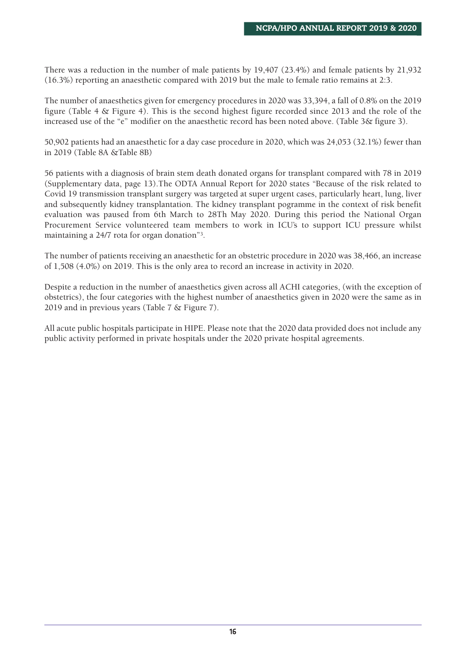There was a reduction in the number of male patients by 19,407 (23.4%) and female patients by 21,932 (16.3%) reporting an anaesthetic compared with 2019 but the male to female ratio remains at 2:3.

The number of anaesthetics given for emergency procedures in 2020 was 33,394, a fall of 0.8% on the 2019 figure (Table 4 & Figure 4). This is the second highest figure recorded since 2013 and the role of the increased use of the "e" modifier on the anaesthetic record has been noted above. (Table 3& figure 3).

50,902 patients had an anaesthetic for a day case procedure in 2020, which was 24,053 (32.1%) fewer than in 2019 (Table 8A &Table 8B)

56 patients with a diagnosis of brain stem death donated organs for transplant compared with 78 in 2019 (Supplementary data, page 13).The ODTA Annual Report for 2020 states "Because of the risk related to Covid 19 transmission transplant surgery was targeted at super urgent cases, particularly heart, lung, liver and subsequently kidney transplantation. The kidney transplant pogramme in the context of risk benefit evaluation was paused from 6th March to 28Th May 2020. During this period the National Organ Procurement Service volunteered team members to work in ICU's to support ICU pressure whilst maintaining a 24/7 rota for organ donation"3.

The number of patients receiving an anaesthetic for an obstetric procedure in 2020 was 38,466, an increase of 1,508 (4.0%) on 2019. This is the only area to record an increase in activity in 2020.

Despite a reduction in the number of anaesthetics given across all ACHI categories, (with the exception of obstetrics), the four categories with the highest number of anaesthetics given in 2020 were the same as in 2019 and in previous years (Table 7 & Figure 7).

All acute public hospitals participate in HIPE. Please note that the 2020 data provided does not include any public activity performed in private hospitals under the 2020 private hospital agreements.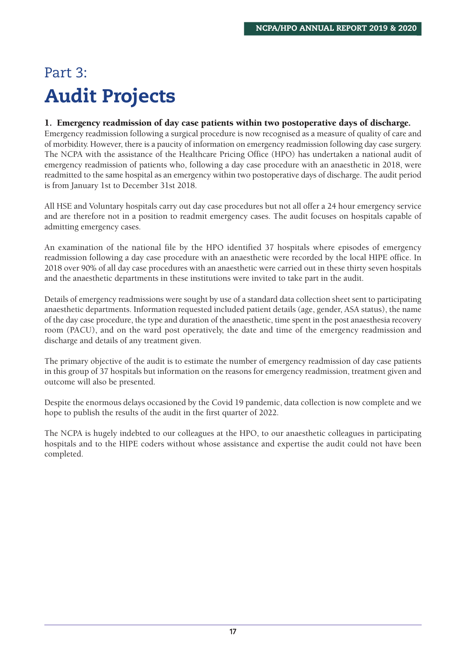# Part 3: **Audit Projects**

#### **1. Emergency readmission of day case patients within two postoperative days of discharge.**

Emergency readmission following a surgical procedure is now recognised as a measure of quality of care and of morbidity. However, there is a paucity of information on emergency readmission following day case surgery. The NCPA with the assistance of the Healthcare Pricing Office (HPO) has undertaken a national audit of emergency readmission of patients who, following a day case procedure with an anaesthetic in 2018, were readmitted to the same hospital as an emergency within two postoperative days of discharge. The audit period is from January 1st to December 31st 2018.

All HSE and Voluntary hospitals carry out day case procedures but not all offer a 24 hour emergency service and are therefore not in a position to readmit emergency cases. The audit focuses on hospitals capable of admitting emergency cases.

An examination of the national file by the HPO identified 37 hospitals where episodes of emergency readmission following a day case procedure with an anaesthetic were recorded by the local HIPE office. In 2018 over 90% of all day case procedures with an anaesthetic were carried out in these thirty seven hospitals and the anaesthetic departments in these institutions were invited to take part in the audit.

Details of emergency readmissions were sought by use of a standard data collection sheet sent to participating anaesthetic departments. Information requested included patient details (age, gender, ASA status), the name of the day case procedure, the type and duration of the anaesthetic, time spent in the post anaesthesia recovery room (PACU), and on the ward post operatively, the date and time of the emergency readmission and discharge and details of any treatment given.

The primary objective of the audit is to estimate the number of emergency readmission of day case patients in this group of 37 hospitals but information on the reasons for emergency readmission, treatment given and outcome will also be presented.

Despite the enormous delays occasioned by the Covid 19 pandemic, data collection is now complete and we hope to publish the results of the audit in the first quarter of 2022.

The NCPA is hugely indebted to our colleagues at the HPO, to our anaesthetic colleagues in participating hospitals and to the HIPE coders without whose assistance and expertise the audit could not have been completed.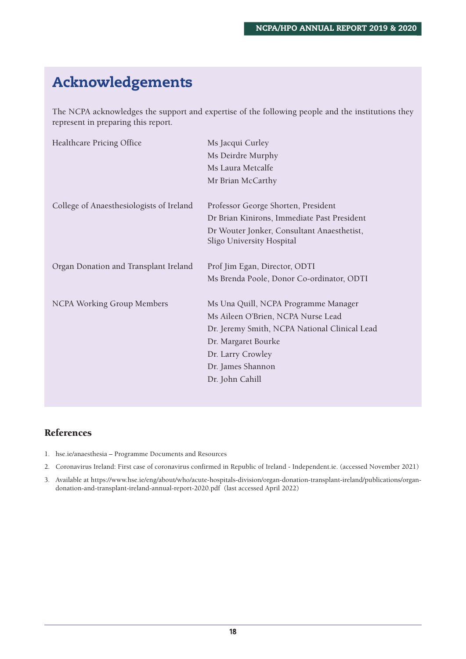### **Acknowledgements**

The NCPA acknowledges the support and expertise of the following people and the institutions they represent in preparing this report.

| Healthcare Pricing Office                | Ms Jacqui Curley                                                        |
|------------------------------------------|-------------------------------------------------------------------------|
|                                          | Ms Deirdre Murphy                                                       |
|                                          | Ms Laura Metcalfe                                                       |
|                                          | Mr Brian McCarthy                                                       |
| College of Anaesthesiologists of Ireland | Professor George Shorten, President                                     |
|                                          | Dr Brian Kinirons, Immediate Past President                             |
|                                          |                                                                         |
|                                          | Dr Wouter Jonker, Consultant Anaesthetist,<br>Sligo University Hospital |
|                                          |                                                                         |
| Organ Donation and Transplant Ireland    | Prof Jim Egan, Director, ODTI                                           |
|                                          | Ms Brenda Poole, Donor Co-ordinator, ODTI                               |
| <b>NCPA Working Group Members</b>        | Ms Una Quill, NCPA Programme Manager                                    |
|                                          | Ms Aileen O'Brien, NCPA Nurse Lead                                      |
|                                          | Dr. Jeremy Smith, NCPA National Clinical Lead                           |
|                                          | Dr. Margaret Bourke                                                     |
|                                          | Dr. Larry Crowley                                                       |
|                                          | Dr. James Shannon                                                       |
|                                          | Dr. John Cahill                                                         |
|                                          |                                                                         |

#### **References**

- 1. hse.ie/anaesthesia Programme Documents and Resources
- 2. Coronavirus Ireland: First case of coronavirus confirmed in Republic of Ireland Independent.ie. (accessed November 2021)
- 3. Available at https://www.hse.ie/eng/about/who/acute-hospitals-division/organ-donation-transplant-ireland/publications/organdonation-and-transplant-ireland-annual-report-2020.pdf (last accessed April 2022)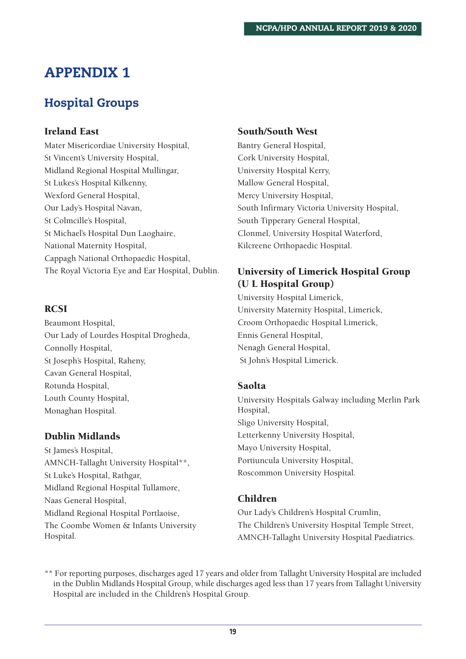### **APPENDIX 1**

### **Hospital Groups**

#### **Ireland East**

Mater Misericordiae University Hospital, St Vincent's University Hospital, Midland Regional Hospital Mullingar, St Lukes's Hospital Kilkenny, Wexford General Hospital, Our Lady's Hospital Navan, St Colmcille's Hospital, St Michael's Hospital Dun Laoghaire, National Maternity Hospital, Cappagh National Orthopaedic Hospital, The Royal Victoria Eye and Ear Hospital, Dublin.

#### **RCSI**

Beaumont Hospital, Our Lady of Lourdes Hospital Drogheda, Connolly Hospital, St Joseph's Hospital, Raheny, Cavan General Hospital, Rotunda Hospital, Louth County Hospital, Monaghan Hospital.

#### **Dublin Midlands**

St James's Hospital, AMNCH-Tallaght University Hospital\*\*, St Luke's Hospital, Rathgar, Midland Regional Hospital Tullamore, Naas General Hospital, Midland Regional Hospital Portlaoise, The Coombe Women & Infants University Hospital.

#### **South/South West**

Bantry General Hospital, Cork University Hospital, University Hospital Kerry, Mallow General Hospital, Mercy University Hospital, South Infirmary Victoria University Hospital, South Tipperary General Hospital, Clonmel, University Hospital Waterford, Kilcreene Orthopaedic Hospital.

#### **University of Limerick Hospital Group (U L Hospital Group)**

University Hospital Limerick, University Maternity Hospital, Limerick, Croom Orthopaedic Hospital Limerick, Ennis General Hospital, Nenagh General Hospital, St John's Hospital Limerick.

#### **Saolta**

University Hospitals Galway including Merlin Park Hospital, Sligo University Hospital, Letterkenny University Hospital, Mayo University Hospital, Portiuncula University Hospital, Roscommon University Hospital.

#### **Children**

Our Lady's Children's Hospital Crumlin, The Children's University Hospital Temple Street, AMNCH-Tallaght University Hospital Paediatrics.

\*\* For reporting purposes, discharges aged 17 years and older from Tallaght University Hospital are included in the Dublin Midlands Hospital Group, while discharges aged less than 17 years from Tallaght University Hospital are included in the Children's Hospital Group.